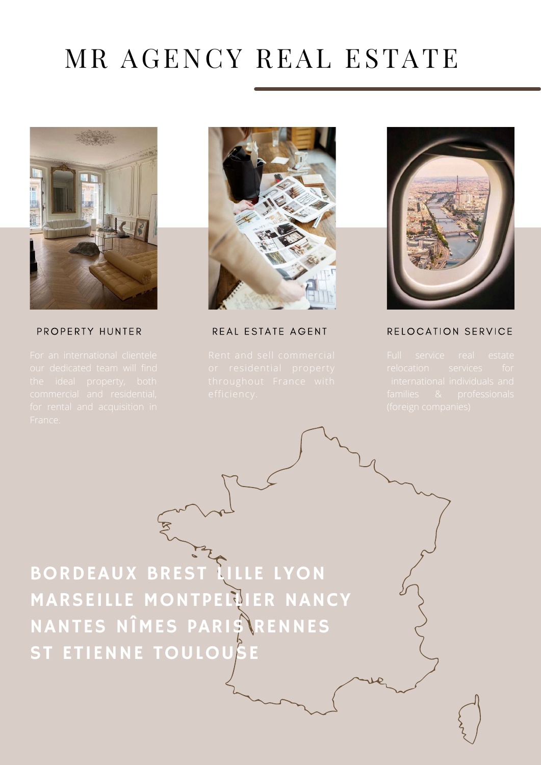# MR AGENCY REAL ESTATE



#### PROPERTY HUNTER



REAL ESTATE AGENT



#### RELOCATION SERVICE

ST ETIENNE TOULOUSE BORDEAUX BREST LILLE LYON **MARSEILLE MONTPELLIER NANCY** NANTES NÎMES PARIS RENNES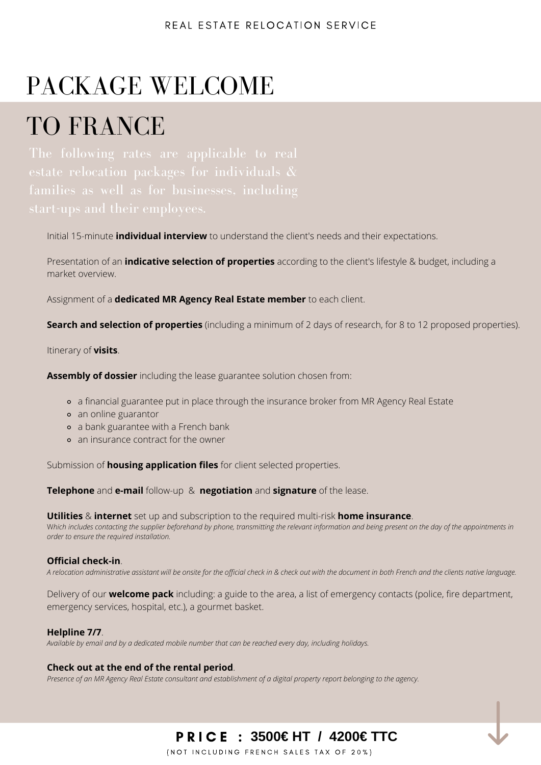# PACKAGE WELCOME

## TO FRANCE

Initial 15-minute **individual interview** to understand the client's needs and their expectations.

Presentation of an **indicative selection of properties** according to the client's lifestyle & budget, including a market overview.

Assignment of a **dedicated MR Agency Real Estate member** to each client.

**Search and selection of properties** (including a minimum of 2 days of research, for 8 to 12 proposed properties).

Itinerary of **visits**.

**Assembly of dossier** including the lease guarantee solution chosen from:

- a financial guarantee put in place through the insurance broker from MR Agency Real Estate
- an online guarantor
- a bank guarantee with a French bank
- an insurance contract for the owner

Submission of **housing application files** for client selected properties.

**Telephone** and **e-mail** follow-up & **negotiation** and **signature** of the lease.

**Utilities** & **internet** set up and subscription to the required multi-risk **home insurance**.

W*hich includes contacting the supplier beforehand by phone, transmitting the relevant information and being present on the day of the appointments in order to ensure the required installation.*

#### **Official check-in**.

A relocation administrative assistant will be onsite for the official check in & check out with the document in both French and the clients native language.

Delivery of our **welcome pack** including: a guide to the area, a list of emergency contacts (police, fire department, emergency services, hospital, etc.), a gourmet basket.

#### **Helpline 7/7**.

*Available by email and by a dedicated mobile number that can be reached every day, including holidays.*

#### **Check out at the end of the rental period**.

Presence of an MR Agency Real Estate consultant and establishment of a digital property report belonging to the agency.

### **3500€ HT / 4200€ TTC €**

(NOT INCLUDING FRENCH SALES TAX OF 20%)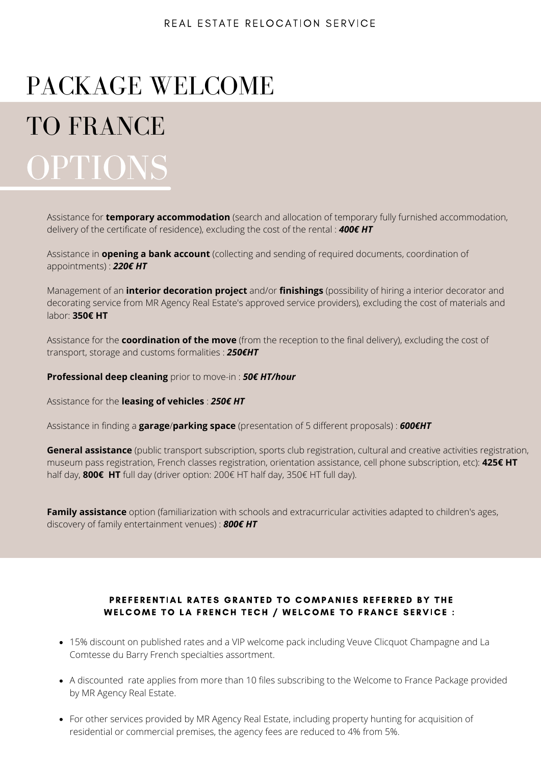# PACKAGE WELCOME

# TO FRANCE OPTIONS

Assistance for **temporary accommodation** (search and allocation of temporary fully furnished accommodation, delivery of the certificate of residence), excluding the cost of the rental : *400€ HT*

Assistance in **opening a bank account** (collecting and sending of required documents, coordination of appointments) : *220€ HT*

Management of an **interior decoration project** and/or **finishings** (possibility of hiring a interior decorator and decorating service from MR Agency Real Estate's approved service providers), excluding the cost of materials and labor: **350€ HT**

Assistance for the **coordination of the move** (from the reception to the final delivery), excluding the cost of transport, storage and customs formalities : *250€HT*

**Professional deep cleaning** prior to move-in : *50€ HT/hour*

Assistance for the **leasing of vehicles** : *250€ HT*

Assistance in finding a **garage**/**parking space** (presentation of 5 different proposals) : *600€HT*

**General assistance** (public transport subscription, sports club registration, cultural and creative activities registration, museum pass registration, French classes registration, orientation assistance, cell phone subscription, etc): **425€ HT** half day, **800€ HT** full day (driver option: 200€ HT half day, 350€ HT full day).

**Family assistance** option (familiarization with schools and extracurricular activities adapted to children's ages, discovery of family entertainment venues) : *800€ HT*

#### PREFERENTIAL RATES GRANTED TO COMPANIES REFERRED BY THE WELCOME TO LA FRENCH TECH / WELCOME TO FRANCE SERVICE :

- 15% discount on published rates and a VIP welcome pack including Veuve Clicquot Champagne and La Comtesse du Barry French specialties assortment.
- A discounted rate applies from more than 10 files subscribing to the Welcome to France Package provided by MR Agency Real Estate.
- For other services provided by MR Agency Real Estate, including property hunting for acquisition of residential or commercial premises, the agency fees are reduced to 4% from 5%.